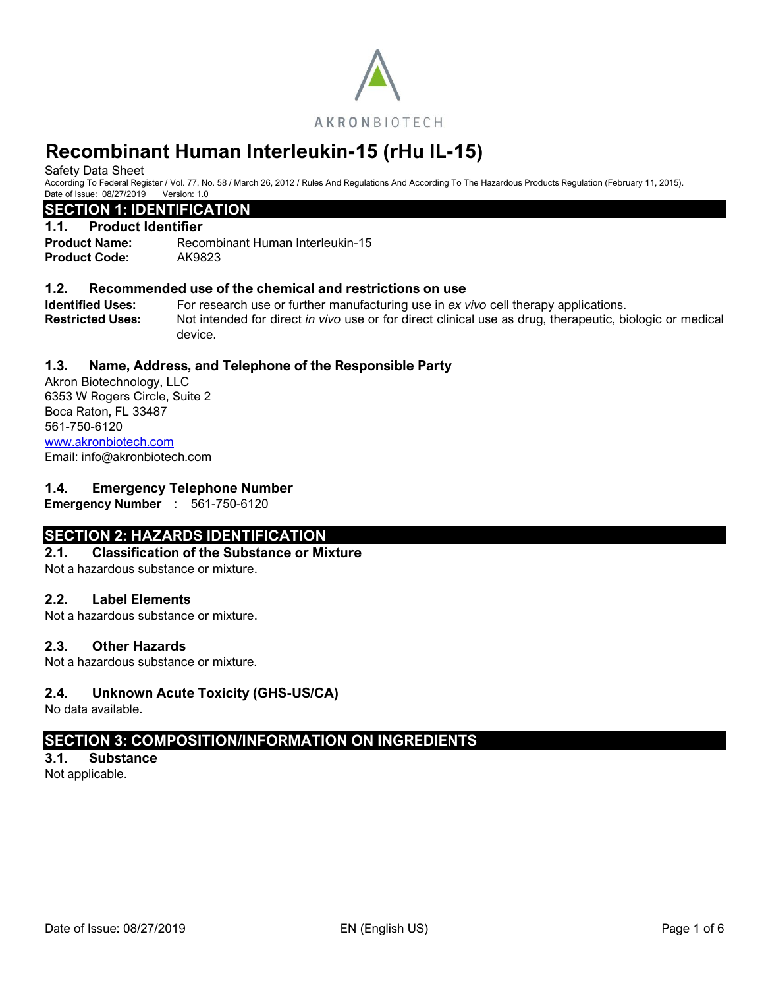

Safety Data Sheet

According To Federal Register / Vol. 77, No. 58 / March 26, 2012 / Rules And Regulations And According To The Hazardous Products Regulation (February 11, 2015). Date of Issue: 08/27/2019 Version: 1.0

# **SECTION 1: IDENTIFICATION**

### **1.1. Product Identifier**

**Product Name:** Recombinant Human Interleukin-15 **Product Code:** AK9823

## **1.2. Recommended use of the chemical and restrictions on use**

**Identified Uses:** For research use or further manufacturing use in *ex vivo* cell therapy applications. **Restricted Uses:** Not intended for direct *in vivo* use or for direct clinical use as drug, therapeutic, biologic or medical device.

# **1.3. Name, Address, and Telephone of the Responsible Party**

Akron Biotechnology, LLC 6353 W Rogers Circle, Suite 2 Boca Raton, FL 33487 561-750-6120 [www.akronbiotech.com](http://www.akronbiotech.com/%3c/a) Email: info@akronbiotech.com

# **1.4. Emergency Telephone Number**

**Emergency Number** : 561-750-6120

# **SECTION 2: HAZARDS IDENTIFICATION**

## **2.1. Classification of the Substance or Mixture**

Not a hazardous substance or mixture.

## **2.2. Label Elements**

Not a hazardous substance or mixture.

## **2.3. Other Hazards**

Not a hazardous substance or mixture.

# **2.4. Unknown Acute Toxicity (GHS-US/CA)**

No data available.

# **SECTION 3: COMPOSITION/INFORMATION ON INGREDIENTS**

**3.1. Substance** Not applicable.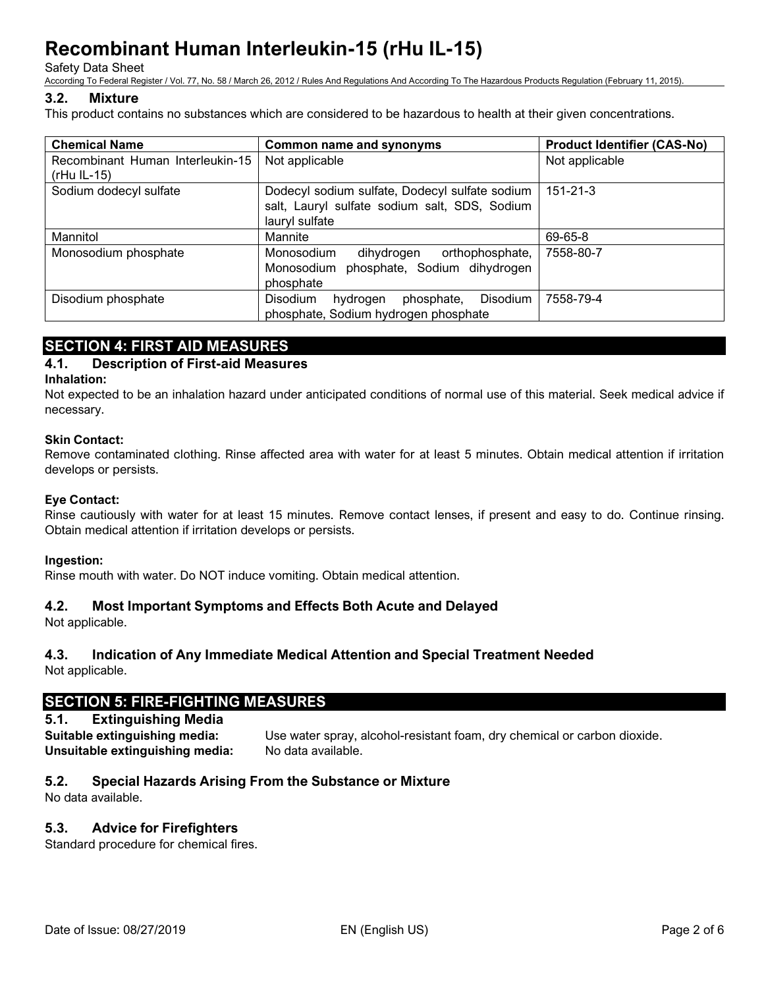Safety Data Sheet

According To Federal Register / Vol. 77, No. 58 / March 26, 2012 / Rules And Regulations And According To The Hazardous Products Regulation (February 11, 2015).

# **3.2. Mixture**

This product contains no substances which are considered to be hazardous to health at their given concentrations.

| <b>Chemical Name</b>                              | Common name and synonyms                                                                                          | <b>Product Identifier (CAS-No)</b> |
|---------------------------------------------------|-------------------------------------------------------------------------------------------------------------------|------------------------------------|
| Recombinant Human Interleukin-15<br>$(rHu II-15)$ | Not applicable                                                                                                    | Not applicable                     |
| Sodium dodecyl sulfate                            | Dodecyl sodium sulfate, Dodecyl sulfate sodium<br>salt, Lauryl sulfate sodium salt, SDS, Sodium<br>lauryl sulfate | 151-21-3                           |
| Mannitol                                          | Mannite                                                                                                           | 69-65-8                            |
| Monosodium phosphate                              | Monosodium<br>dihydrogen<br>orthophosphate,<br>phosphate, Sodium dihydrogen<br>Monosodium<br>phosphate            | 7558-80-7                          |
| Disodium phosphate                                | <b>Disodium</b><br>phosphate,<br><b>Disodium</b><br>hydrogen<br>phosphate, Sodium hydrogen phosphate              | 7558-79-4                          |

# **SECTION 4: FIRST AID MEASURES**

# **4.1. Description of First-aid Measures**

#### **Inhalation:**

Not expected to be an inhalation hazard under anticipated conditions of normal use of this material. Seek medical advice if necessary.

## **Skin Contact:**

Remove contaminated clothing. Rinse affected area with water for at least 5 minutes. Obtain medical attention if irritation develops or persists.

### **Eye Contact:**

Rinse cautiously with water for at least 15 minutes. Remove contact lenses, if present and easy to do. Continue rinsing. Obtain medical attention if irritation develops or persists.

#### **Ingestion:**

Rinse mouth with water. Do NOT induce vomiting. Obtain medical attention.

## **4.2. Most Important Symptoms and Effects Both Acute and Delayed**

Not applicable.

# **4.3. Indication of Any Immediate Medical Attention and Special Treatment Needed**

Not applicable.

# **SECTION 5: FIRE-FIGHTING MEASURES**

# **5.1. Extinguishing Media**

**Suitable extinguishing media:** Use water spray, alcohol-resistant foam, dry chemical or carbon dioxide. **Unsuitable extinguishing media:** No data available.

# **5.2. Special Hazards Arising From the Substance or Mixture**

No data available.

# **5.3. Advice for Firefighters**

Standard procedure for chemical fires.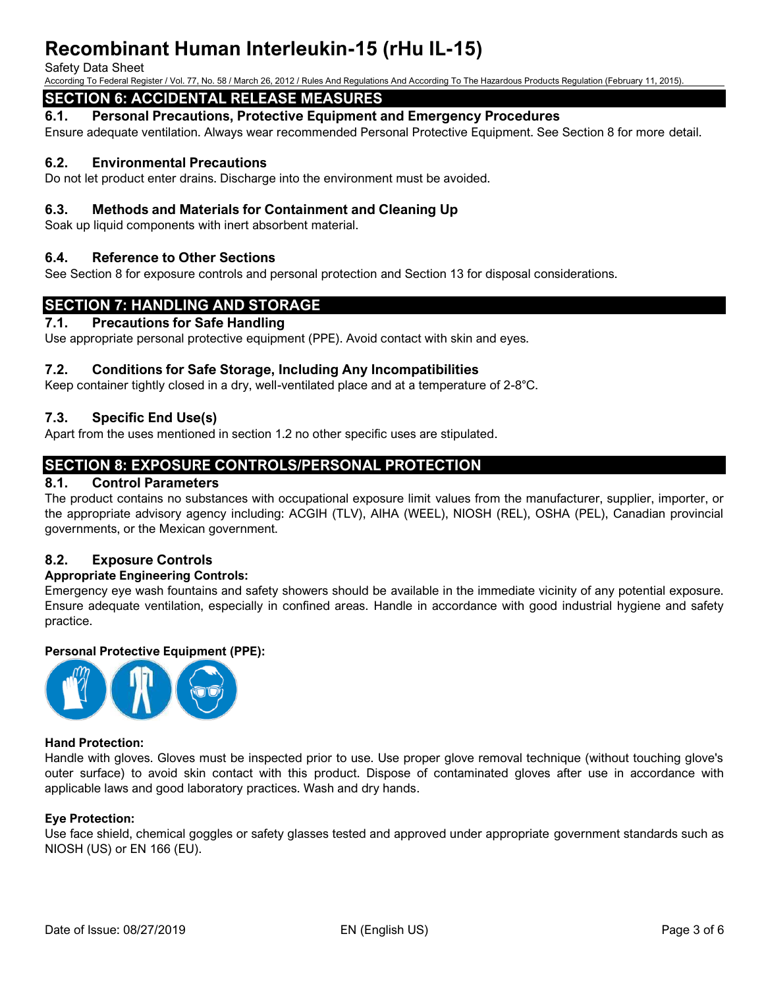#### Safety Data Sheet

According To Federal Register / Vol. 77, No. 58 / March 26, 2012 / Rules And Regulations And According To The Hazardous Products Regulation (February 11, 2015).

# **SECTION 6: ACCIDENTAL RELEASE MEASURES**

**6.1. Personal Precautions, Protective Equipment and Emergency Procedures**

Ensure adequate ventilation. Always wear recommended Personal Protective Equipment. See Section 8 for more detail.

# **6.2. Environmental Precautions**

Do not let product enter drains. Discharge into the environment must be avoided.

# **6.3. Methods and Materials for Containment and Cleaning Up**

Soak up liquid components with inert absorbent material.

## **6.4. Reference to Other Sections**

See Section 8 for exposure controls and personal protection and Section 13 for disposal considerations.

# **SECTION 7: HANDLING AND STORAGE**

#### **7.1. Precautions for Safe Handling**

Use appropriate personal protective equipment (PPE). Avoid contact with skin and eyes.

## **7.2. Conditions for Safe Storage, Including Any Incompatibilities**

Keep container tightly closed in a dry, well-ventilated place and at a temperature of 2-8°C.

# **7.3. Specific End Use(s)**

Apart from the uses mentioned in section 1.2 no other specific uses are stipulated.

# **SECTION 8: EXPOSURE CONTROLS/PERSONAL PROTECTION**

# **8.1. Control Parameters**

The product contains no substances with occupational exposure limit values from the manufacturer, supplier, importer, or the appropriate advisory agency including: ACGIH (TLV), AIHA (WEEL), NIOSH (REL), OSHA (PEL), Canadian provincial governments, or the Mexican government.

## **8.2. Exposure Controls**

## **Appropriate Engineering Controls:**

Emergency eye wash fountains and safety showers should be available in the immediate vicinity of any potential exposure. Ensure adequate ventilation, especially in confined areas. Handle in accordance with good industrial hygiene and safety practice.

## **Personal Protective Equipment (PPE):**



#### **Hand Protection:**

Handle with gloves. Gloves must be inspected prior to use. Use proper glove removal technique (without touching glove's outer surface) to avoid skin contact with this product. Dispose of contaminated gloves after use in accordance with applicable laws and good laboratory practices. Wash and dry hands.

#### **Eye Protection:**

Use face shield, chemical goggles or safety glasses tested and approved under appropriate government standards such as NIOSH (US) or EN 166 (EU).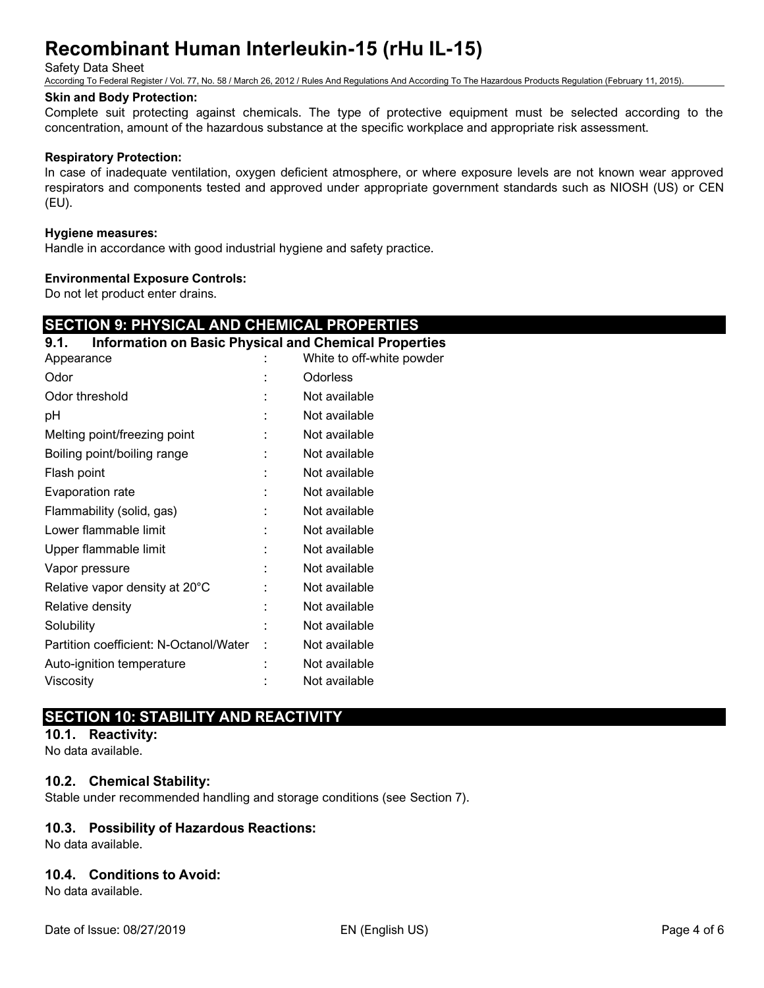Safety Data Sheet

According To Federal Register / Vol. 77, No. 58 / March 26, 2012 / Rules And Regulations And According To The Hazardous Products Regulation (February 11, 2015).

### **Skin and Body Protection:**

Complete suit protecting against chemicals. The type of protective equipment must be selected according to the concentration, amount of the hazardous substance at the specific workplace and appropriate risk assessment.

### **Respiratory Protection:**

In case of inadequate ventilation, oxygen deficient atmosphere, or where exposure levels are not known wear approved respirators and components tested and approved under appropriate government standards such as NIOSH (US) or CEN (EU).

#### **Hygiene measures:**

Handle in accordance with good industrial hygiene and safety practice.

#### **Environmental Exposure Controls:**

Do not let product enter drains.

# **SECTION 9: PHYSICAL AND CHEMICAL PROPERTIES**

| <b>Information on Basic Physical and Chemical Properties</b><br>9.1. |                           |
|----------------------------------------------------------------------|---------------------------|
| Appearance                                                           | White to off-white powder |
| Odor                                                                 | Odorless                  |
| Odor threshold                                                       | Not available             |
| pH                                                                   | Not available             |
| Melting point/freezing point                                         | Not available             |
| Boiling point/boiling range                                          | Not available             |
| Flash point                                                          | Not available             |
| Evaporation rate                                                     | Not available             |
| Flammability (solid, gas)                                            | Not available             |
| Lower flammable limit                                                | Not available             |
| Upper flammable limit                                                | Not available             |
| Vapor pressure                                                       | Not available             |
| Relative vapor density at 20°C                                       | Not available             |
| Relative density                                                     | Not available             |
| Solubility                                                           | Not available             |
| Partition coefficient: N-Octanol/Water                               | Not available             |
| Auto-ignition temperature                                            | Not available             |
| Viscosity                                                            | Not available             |
|                                                                      |                           |

# **SECTION 10: STABILITY AND REACTIVITY**

**10.1. Reactivity:**

No data available.

## **10.2. Chemical Stability:**

Stable under recommended handling and storage conditions (see Section 7).

## **10.3. Possibility of Hazardous Reactions:**

No data available.

## **10.4. Conditions to Avoid:**

No data available.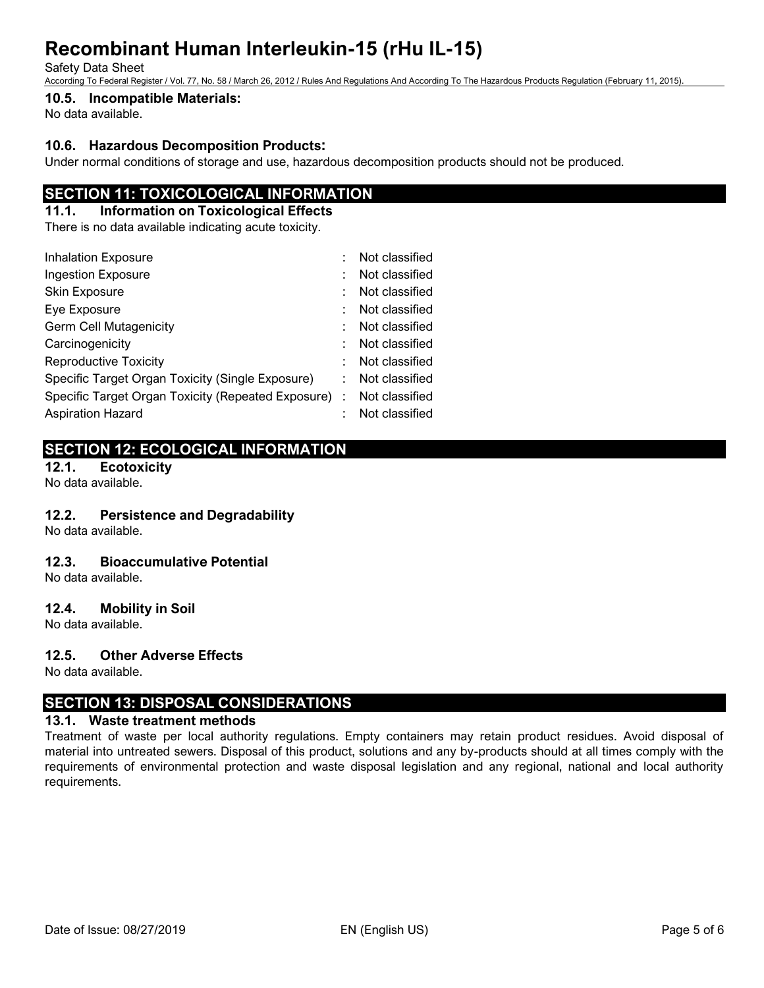Safety Data Sheet

According To Federal Register / Vol. 77, No. 58 / March 26, 2012 / Rules And Regulations And According To The Hazardous Products Regulation (February 11, 2015).

## **10.5. Incompatible Materials:**

No data available.

# **10.6. Hazardous Decomposition Products:**

Under normal conditions of storage and use, hazardous decomposition products should not be produced.

# **SECTION 11: TOXICOLOGICAL INFORMATION**

### **11.1. Information on Toxicological Effects**

There is no data available indicating acute toxicity.

| <b>Inhalation Exposure</b>                           | Not classified |
|------------------------------------------------------|----------------|
| Ingestion Exposure                                   | Not classified |
| Skin Exposure                                        | Not classified |
| Eye Exposure                                         | Not classified |
| <b>Germ Cell Mutagenicity</b>                        | Not classified |
| Carcinogenicity                                      | Not classified |
| <b>Reproductive Toxicity</b>                         | Not classified |
| Specific Target Organ Toxicity (Single Exposure)     | Not classified |
| Specific Target Organ Toxicity (Repeated Exposure) : | Not classified |
| <b>Aspiration Hazard</b>                             | Not classified |

# **SECTION 12: ECOLOGICAL INFORMATION**

**12.1. Ecotoxicity**

No data available.

## **12.2. Persistence and Degradability**

No data available.

## **12.3. Bioaccumulative Potential**

No data available.

## **12.4. Mobility in Soil**

No data available.

## **12.5. Other Adverse Effects**

No data available.

# **SECTION 13: DISPOSAL CONSIDERATIONS**

## **13.1. Waste treatment methods**

Treatment of waste per local authority regulations. Empty containers may retain product residues. Avoid disposal of material into untreated sewers. Disposal of this product, solutions and any by-products should at all times comply with the requirements of environmental protection and waste disposal legislation and any regional, national and local authority requirements.